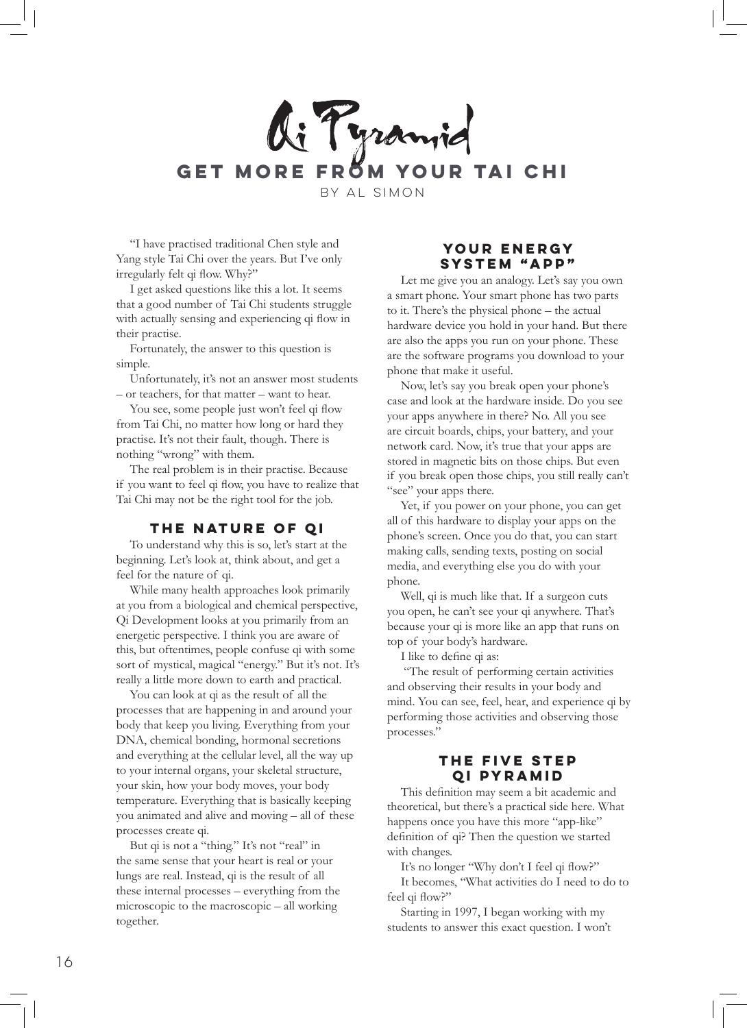

"I have practised traditional Chen style and Yang style Tai Chi over the years. But I've only irregularly felt qi flow. Why?"

I get asked questions like this a lot. It seems that a good number of Tai Chi students struggle with actually sensing and experiencing qi flow in their practise.

Fortunately, the answer to this question is simple.

Unfortunately, it's not an answer most students – or teachers, for that matter – want to hear.

You see, some people just won't feel qi flow from Tai Chi, no matter how long or hard they practise. It's not their fault, though. There is nothing "wrong" with them.

The real problem is in their practise. Because if you want to feel qi flow, you have to realize that Tai Chi may not be the right tool for the job.

# **The Nature of Qi**

To understand why this is so, let's start at the beginning. Let's look at, think about, and get a feel for the nature of qi.

While many health approaches look primarily at you from a biological and chemical perspective, Qi Development looks at you primarily from an energetic perspective. I think you are aware of this, but oftentimes, people confuse qi with some sort of mystical, magical "energy." But it's not. It's really a little more down to earth and practical.

You can look at qi as the result of all the processes that are happening in and around your body that keep you living. Everything from your DNA, chemical bonding, hormonal secretions and everything at the cellular level, all the way up to your internal organs, your skeletal structure, your skin, how your body moves, your body temperature. Everything that is basically keeping you animated and alive and moving – all of these processes create qi.

But qi is not a "thing." It's not "real" in the same sense that your heart is real or your lungs are real. Instead, qi is the result of all these internal processes – everything from the microscopic to the macroscopic – all working together.

#### **Your Energy System "App"**

Let me give you an analogy. Let's say you own a smart phone. Your smart phone has two parts to it. There's the physical phone – the actual hardware device you hold in your hand. But there are also the apps you run on your phone. These are the software programs you download to your phone that make it useful.

Now, let's say you break open your phone's case and look at the hardware inside. Do you see your apps anywhere in there? No. All you see are circuit boards, chips, your battery, and your network card. Now, it's true that your apps are stored in magnetic bits on those chips. But even if you break open those chips, you still really can't "see" your apps there.

Yet, if you power on your phone, you can get all of this hardware to display your apps on the phone's screen. Once you do that, you can start making calls, sending texts, posting on social media, and everything else you do with your phone.

Well, qi is much like that. If a surgeon cuts you open, he can't see your qi anywhere. That's because your qi is more like an app that runs on top of your body's hardware.

I like to define qi as:

 "The result of performing certain activities and observing their results in your body and mind. You can see, feel, hear, and experience qi by performing those activities and observing those processes."

#### **The Five Step Qi Pyramid**

This definition may seem a bit academic and theoretical, but there's a practical side here. What happens once you have this more "app-like" definition of qi? Then the question we started with changes.

It's no longer "Why don't I feel qi flow?" It becomes, "What activities do I need to do to feel qi flow?"

Starting in 1997, I began working with my students to answer this exact question. I won't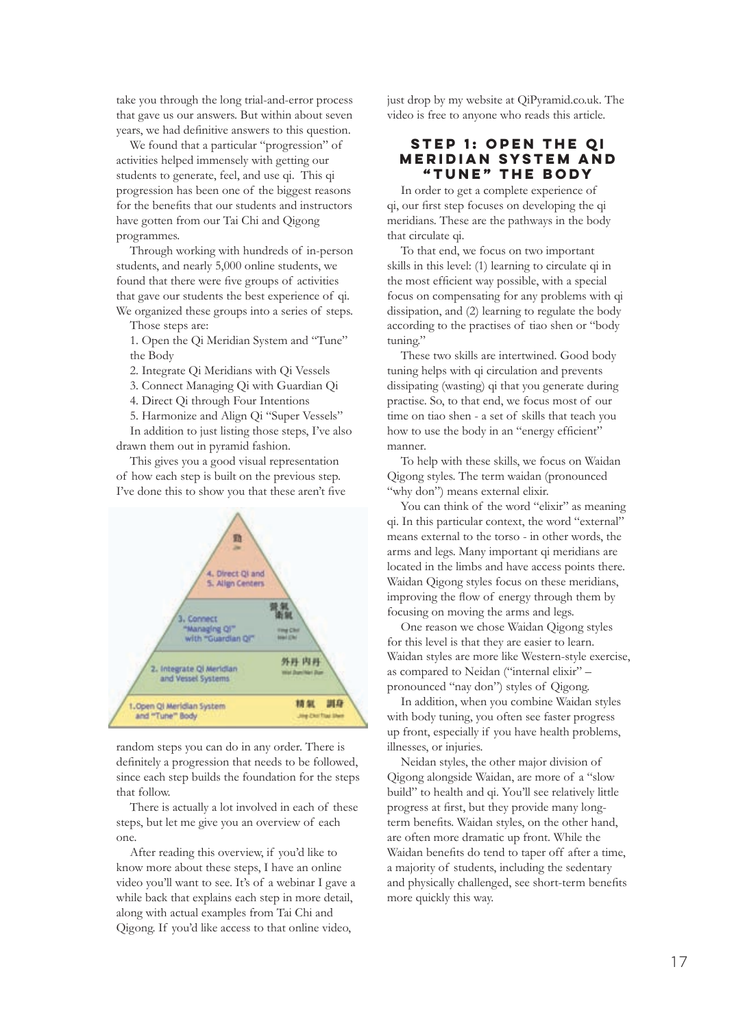take you through the long trial-and-error process that gave us our answers. But within about seven years, we had definitive answers to this question.

We found that a particular "progression" of activities helped immensely with getting our students to generate, feel, and use qi. This qi progression has been one of the biggest reasons for the benefits that our students and instructors have gotten from our Tai Chi and Qigong programmes.

Through working with hundreds of in-person students, and nearly 5,000 online students, we found that there were five groups of activities that gave our students the best experience of qi. We organized these groups into a series of steps.

Those steps are:

1. Open the Qi Meridian System and "Tune" the Body

2. Integrate Qi Meridians with Qi Vessels

3. Connect Managing Qi with Guardian Qi

4. Direct Qi through Four Intentions

5. Harmonize and Align Qi "Super Vessels"

In addition to just listing those steps, I've also drawn them out in pyramid fashion.

This gives you a good visual representation of how each step is built on the previous step. I've done this to show you that these aren't five



random steps you can do in any order. There is definitely a progression that needs to be followed, since each step builds the foundation for the steps that follow.

There is actually a lot involved in each of these steps, but let me give you an overview of each one.

After reading this overview, if you'd like to know more about these steps, I have an online video you'll want to see. It's of a webinar I gave a while back that explains each step in more detail, along with actual examples from Tai Chi and Qigong. If you'd like access to that online video,

just drop by my website at QiPyramid.co.uk. The video is free to anyone who reads this article.

#### **Step 1: Open the Qi Meridian System and "Tune" the Body**

In order to get a complete experience of qi, our first step focuses on developing the qi meridians. These are the pathways in the body that circulate qi.

To that end, we focus on two important skills in this level: (1) learning to circulate qi in the most efficient way possible, with a special focus on compensating for any problems with qi dissipation, and (2) learning to regulate the body according to the practises of tiao shen or "body tuning."

These two skills are intertwined. Good body tuning helps with qi circulation and prevents dissipating (wasting) qi that you generate during practise. So, to that end, we focus most of our time on tiao shen - a set of skills that teach you how to use the body in an "energy efficient" manner.

To help with these skills, we focus on Waidan Qigong styles. The term waidan (pronounced "why don") means external elixir.

You can think of the word "elixir" as meaning qi. In this particular context, the word "external" means external to the torso - in other words, the arms and legs. Many important qi meridians are located in the limbs and have access points there. Waidan Qigong styles focus on these meridians, improving the flow of energy through them by focusing on moving the arms and legs.

One reason we chose Waidan Qigong styles for this level is that they are easier to learn. Waidan styles are more like Western-style exercise, as compared to Neidan ("internal elixir" – pronounced "nay don") styles of Qigong.

In addition, when you combine Waidan styles with body tuning, you often see faster progress up front, especially if you have health problems, illnesses, or injuries.

Neidan styles, the other major division of Qigong alongside Waidan, are more of a "slow build" to health and qi. You'll see relatively little progress at first, but they provide many longterm benefits. Waidan styles, on the other hand, are often more dramatic up front. While the Waidan benefits do tend to taper off after a time, a majority of students, including the sedentary and physically challenged, see short-term benefits more quickly this way.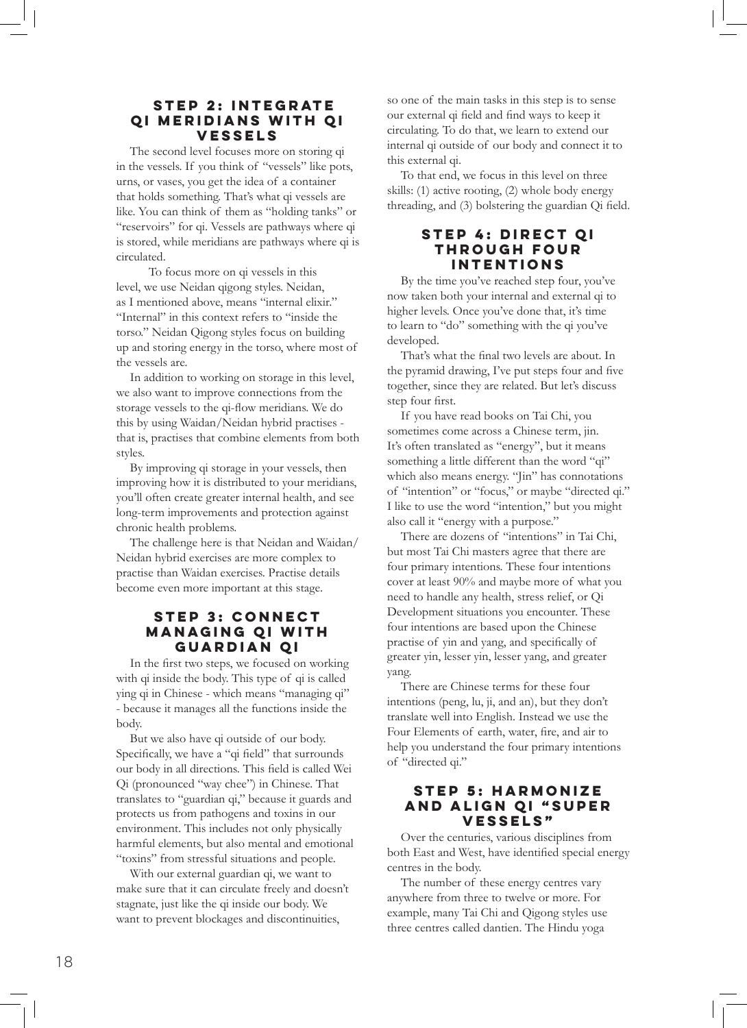# **Step 2: Integrate Qi Meridians with Qi Vessels**

The second level focuses more on storing qi in the vessels. If you think of "vessels" like pots, urns, or vases, you get the idea of a container that holds something. That's what qi vessels are like. You can think of them as "holding tanks" or "reservoirs" for qi. Vessels are pathways where qi is stored, while meridians are pathways where qi is circulated.

 To focus more on qi vessels in this level, we use Neidan qigong styles. Neidan, as I mentioned above, means "internal elixir." "Internal" in this context refers to "inside the torso." Neidan Qigong styles focus on building up and storing energy in the torso, where most of the vessels are.

In addition to working on storage in this level, we also want to improve connections from the storage vessels to the qi-flow meridians. We do this by using Waidan/Neidan hybrid practises that is, practises that combine elements from both styles.

By improving qi storage in your vessels, then improving how it is distributed to your meridians, you'll often create greater internal health, and see long-term improvements and protection against chronic health problems.

The challenge here is that Neidan and Waidan/ Neidan hybrid exercises are more complex to practise than Waidan exercises. Practise details become even more important at this stage.

# **Step 3: Connect Managing Qi with Guardian Qi**

In the first two steps, we focused on working with qi inside the body. This type of qi is called ying qi in Chinese - which means "managing qi" - because it manages all the functions inside the body.

But we also have qi outside of our body. Specifically, we have a "qi field" that surrounds our body in all directions. This field is called Wei Qi (pronounced "way chee") in Chinese. That translates to "guardian qi," because it guards and protects us from pathogens and toxins in our environment. This includes not only physically harmful elements, but also mental and emotional "toxins" from stressful situations and people.

With our external guardian qi, we want to make sure that it can circulate freely and doesn't stagnate, just like the qi inside our body. We want to prevent blockages and discontinuities,

so one of the main tasks in this step is to sense our external qi field and find ways to keep it circulating. To do that, we learn to extend our internal qi outside of our body and connect it to this external qi.

To that end, we focus in this level on three skills: (1) active rooting, (2) whole body energy threading, and (3) bolstering the guardian Qi field.

# **step 4: Direct Qi through Four Intentions**

By the time you've reached step four, you've now taken both your internal and external qi to higher levels. Once you've done that, it's time to learn to "do" something with the qi you've developed.

That's what the final two levels are about. In the pyramid drawing, I've put steps four and five together, since they are related. But let's discuss step four first.

If you have read books on Tai Chi, you sometimes come across a Chinese term, jin. It's often translated as "energy", but it means something a little different than the word "qi" which also means energy. "Jin" has connotations of "intention" or "focus," or maybe "directed qi." I like to use the word "intention," but you might also call it "energy with a purpose."

There are dozens of "intentions" in Tai Chi, but most Tai Chi masters agree that there are four primary intentions. These four intentions cover at least 90% and maybe more of what you need to handle any health, stress relief, or Qi Development situations you encounter. These four intentions are based upon the Chinese practise of yin and yang, and specifically of greater yin, lesser yin, lesser yang, and greater yang.

There are Chinese terms for these four intentions (peng, lu, ji, and an), but they don't translate well into English. Instead we use the Four Elements of earth, water, fire, and air to help you understand the four primary intentions of "directed qi."

# **Step 5: Harmonize and Align Qi "Super Vessels"**

Over the centuries, various disciplines from both East and West, have identified special energy centres in the body.

The number of these energy centres vary anywhere from three to twelve or more. For example, many Tai Chi and Qigong styles use three centres called dantien. The Hindu yoga